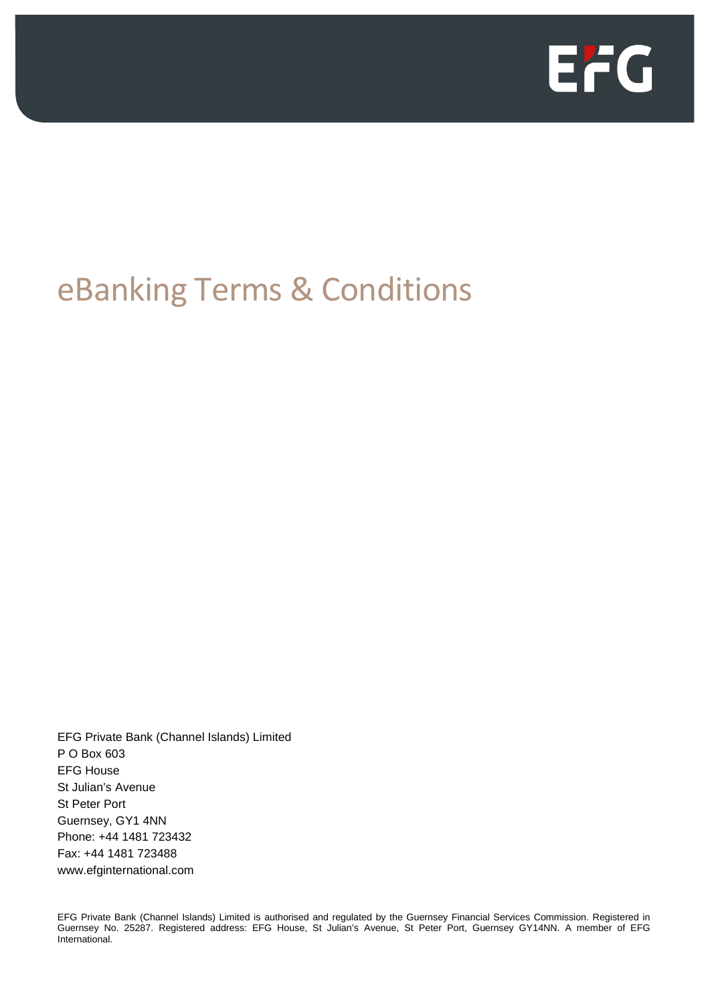

# eBanking Terms & Conditions

EFG Private Bank (Channel Islands) Limited P O Box 603 EFG House St Julian's Avenue St Peter Port Guernsey, GY1 4NN Phone: +44 1481 723432 Fax: +44 1481 723488 www.efginternational.com

EFG Private Bank (Channel Islands) Limited is authorised and regulated by the Guernsey Financial Services Commission. Registered in Guernsey No. 25287. Registered address: EFG House, St Julian's Avenue, St Peter Port, Guernsey GY14NN. A member of EFG International.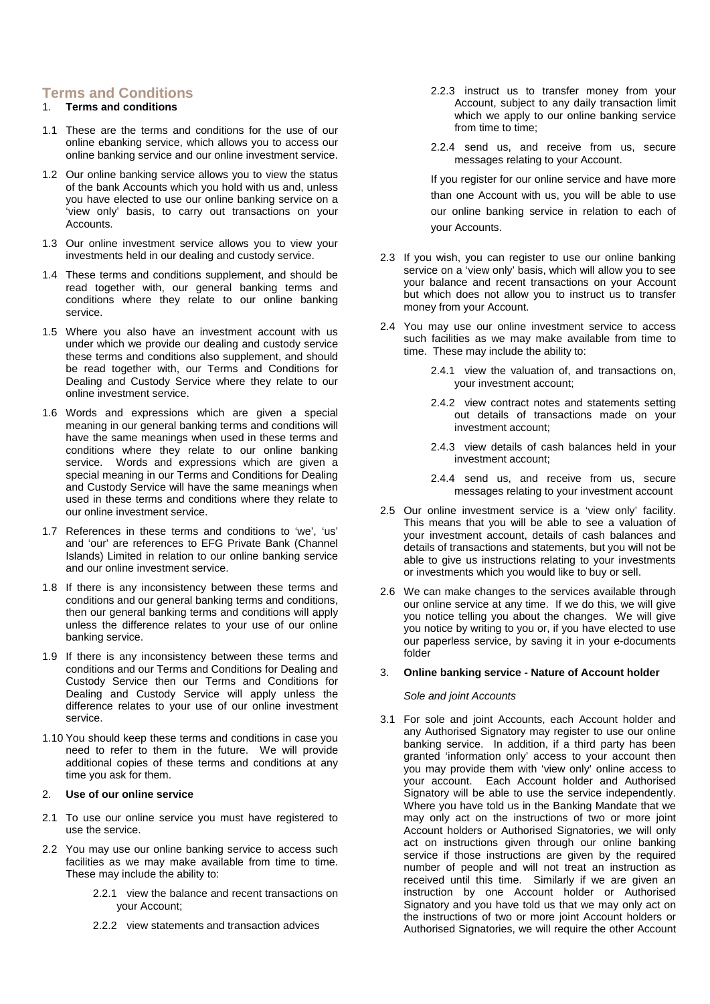# **Terms and Conditions**

## 1. **Terms and conditions**

- 1.1 These are the terms and conditions for the use of our online ebanking service, which allows you to access our online banking service and our online investment service.
- 1.2 Our online banking service allows you to view the status of the bank Accounts which you hold with us and, unless you have elected to use our online banking service on a 'view only' basis, to carry out transactions on your Accounts.
- 1.3 Our online investment service allows you to view your investments held in our dealing and custody service.
- 1.4 These terms and conditions supplement, and should be read together with, our general banking terms and conditions where they relate to our online banking service.
- 1.5 Where you also have an investment account with us under which we provide our dealing and custody service these terms and conditions also supplement, and should be read together with, our Terms and Conditions for Dealing and Custody Service where they relate to our online investment service.
- 1.6 Words and expressions which are given a special meaning in our general banking terms and conditions will have the same meanings when used in these terms and conditions where they relate to our online banking service. Words and expressions which are given a special meaning in our Terms and Conditions for Dealing and Custody Service will have the same meanings when used in these terms and conditions where they relate to our online investment service.
- 1.7 References in these terms and conditions to 'we', 'us' and 'our' are references to EFG Private Bank (Channel Islands) Limited in relation to our online banking service and our online investment service.
- 1.8 If there is any inconsistency between these terms and conditions and our general banking terms and conditions, then our general banking terms and conditions will apply unless the difference relates to your use of our online banking service.
- 1.9 If there is any inconsistency between these terms and conditions and our Terms and Conditions for Dealing and Custody Service then our Terms and Conditions for Dealing and Custody Service will apply unless the difference relates to your use of our online investment service.
- 1.10 You should keep these terms and conditions in case you need to refer to them in the future. We will provide additional copies of these terms and conditions at any time you ask for them.

### 2. **Use of our online service**

- 2.1 To use our online service you must have registered to use the service.
- 2.2 You may use our online banking service to access such facilities as we may make available from time to time. These may include the ability to:
	- 2.2.1 view the balance and recent transactions on your Account;
	- 2.2.2 view statements and transaction advices
- 2.2.3 instruct us to transfer money from your Account, subject to any daily transaction limit which we apply to our online banking service from time to time:
- 2.2.4 send us, and receive from us, secure messages relating to your Account.

If you register for our online service and have more than one Account with us, you will be able to use our online banking service in relation to each of your Accounts.

- 2.3 If you wish, you can register to use our online banking service on a 'view only' basis, which will allow you to see your balance and recent transactions on your Account but which does not allow you to instruct us to transfer money from your Account.
- 2.4 You may use our online investment service to access such facilities as we may make available from time to time. These may include the ability to:
	- 2.4.1 view the valuation of, and transactions on, your investment account;
	- 2.4.2 view contract notes and statements setting out details of transactions made on your investment account;
	- 2.4.3 view details of cash balances held in your investment account;
	- 2.4.4 send us, and receive from us, secure messages relating to your investment account
- 2.5 Our online investment service is a 'view only' facility. This means that you will be able to see a valuation of your investment account, details of cash balances and details of transactions and statements, but you will not be able to give us instructions relating to your investments or investments which you would like to buy or sell.
- 2.6 We can make changes to the services available through our online service at any time. If we do this, we will give you notice telling you about the changes. We will give you notice by writing to you or, if you have elected to use our paperless service, by saving it in your e-documents folder

#### 3. **Online banking service - Nature of Account holder**

## *Sole and joint Accounts*

3.1 For sole and joint Accounts, each Account holder and any Authorised Signatory may register to use our online banking service. In addition, if a third party has been granted 'information only' access to your account then you may provide them with 'view only' online access to your account. Each Account holder and Authorised Signatory will be able to use the service independently. Where you have told us in the Banking Mandate that we may only act on the instructions of two or more joint Account holders or Authorised Signatories, we will only act on instructions given through our online banking service if those instructions are given by the required number of people and will not treat an instruction as received until this time. Similarly if we are given an instruction by one Account holder or Authorised Signatory and you have told us that we may only act on the instructions of two or more joint Account holders or Authorised Signatories, we will require the other Account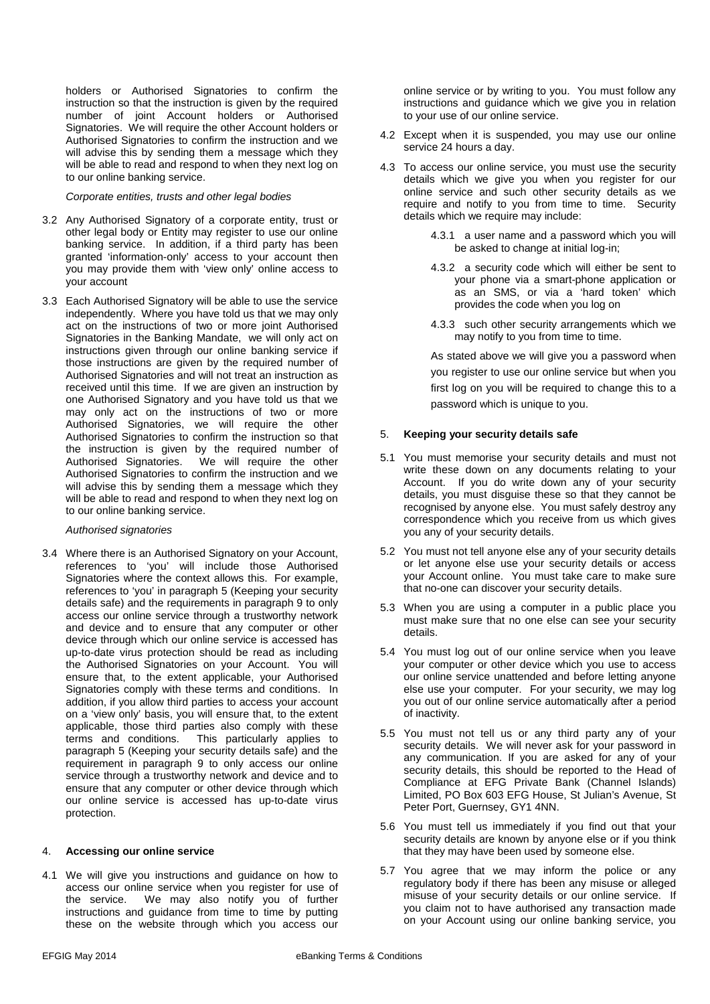holders or Authorised Signatories to confirm the instruction so that the instruction is given by the required number of joint Account holders or Authorised Signatories. We will require the other Account holders or Authorised Signatories to confirm the instruction and we will advise this by sending them a message which they will be able to read and respond to when they next log on to our online banking service.

#### *Corporate entities, trusts and other legal bodies*

- 3.2 Any Authorised Signatory of a corporate entity, trust or other legal body or Entity may register to use our online banking service. In addition, if a third party has been granted 'information-only' access to your account then you may provide them with 'view only' online access to your account
- 3.3 Each Authorised Signatory will be able to use the service independently. Where you have told us that we may only act on the instructions of two or more joint Authorised Signatories in the Banking Mandate, we will only act on instructions given through our online banking service if those instructions are given by the required number of Authorised Signatories and will not treat an instruction as received until this time. If we are given an instruction by one Authorised Signatory and you have told us that we may only act on the instructions of two or more Authorised Signatories, we will require the other Authorised Signatories to confirm the instruction so that the instruction is given by the required number of Authorised Signatories. We will require the other Authorised Signatories to confirm the instruction and we will advise this by sending them a message which they will be able to read and respond to when they next log on to our online banking service.

#### *Authorised signatories*

3.4 Where there is an Authorised Signatory on your Account, references to 'you' will include those Authorised Signatories where the context allows this. For example, references to 'you' in paragraph 5 (Keeping your security details safe) and the requirements in paragraph 9 to only access our online service through a trustworthy network and device and to ensure that any computer or other device through which our online service is accessed has up-to-date virus protection should be read as including the Authorised Signatories on your Account. You will ensure that, to the extent applicable, your Authorised Signatories comply with these terms and conditions. In addition, if you allow third parties to access your account on a 'view only' basis, you will ensure that, to the extent applicable, those third parties also comply with these terms and conditions. This particularly applies to paragraph 5 (Keeping your security details safe) and the requirement in paragraph 9 to only access our online service through a trustworthy network and device and to ensure that any computer or other device through which our online service is accessed has up-to-date virus protection.

#### 4. **Accessing our online service**

4.1 We will give you instructions and guidance on how to access our online service when you register for use of the service. We may also notify you of further instructions and guidance from time to time by putting these on the website through which you access our online service or by writing to you. You must follow any instructions and guidance which we give you in relation to your use of our online service.

- 4.2 Except when it is suspended, you may use our online service 24 hours a day.
- 4.3 To access our online service, you must use the security details which we give you when you register for our online service and such other security details as we require and notify to you from time to time. Security details which we require may include:
	- 4.3.1 a user name and a password which you will be asked to change at initial log-in;
	- 4.3.2 a security code which will either be sent to your phone via a smart-phone application or as an SMS, or via a 'hard token' which provides the code when you log on
	- 4.3.3 such other security arrangements which we may notify to you from time to time.

As stated above we will give you a password when you register to use our online service but when you first log on you will be required to change this to a password which is unique to you.

#### 5. **Keeping your security details safe**

- 5.1 You must memorise your security details and must not write these down on any documents relating to your Account. If you do write down any of your security details, you must disguise these so that they cannot be recognised by anyone else. You must safely destroy any correspondence which you receive from us which gives you any of your security details.
- 5.2 You must not tell anyone else any of your security details or let anyone else use your security details or access your Account online. You must take care to make sure that no-one can discover your security details.
- 5.3 When you are using a computer in a public place you must make sure that no one else can see your security details.
- 5.4 You must log out of our online service when you leave your computer or other device which you use to access our online service unattended and before letting anyone else use your computer. For your security, we may log you out of our online service automatically after a period of inactivity.
- 5.5 You must not tell us or any third party any of your security details. We will never ask for your password in any communication. If you are asked for any of your security details, this should be reported to the Head of Compliance at EFG Private Bank (Channel Islands) Limited, PO Box 603 EFG House, St Julian's Avenue, St Peter Port, Guernsey, GY1 4NN.
- 5.6 You must tell us immediately if you find out that your security details are known by anyone else or if you think that they may have been used by someone else.
- 5.7 You agree that we may inform the police or any regulatory body if there has been any misuse or alleged misuse of your security details or our online service. If you claim not to have authorised any transaction made on your Account using our online banking service, you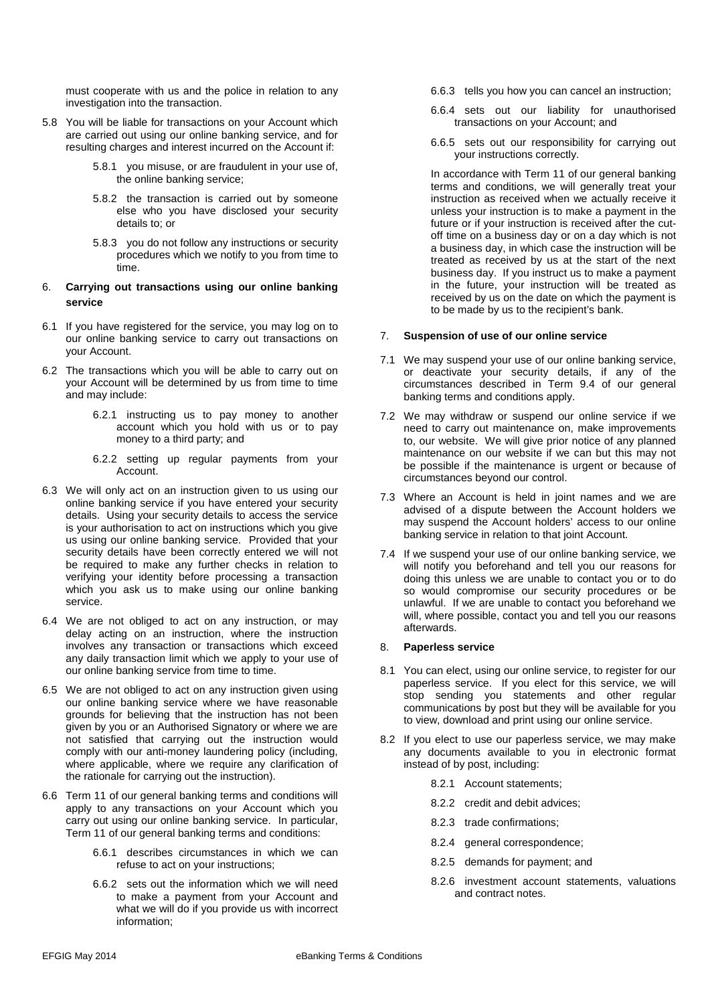must cooperate with us and the police in relation to any investigation into the transaction.

- 5.8 You will be liable for transactions on your Account which are carried out using our online banking service, and for resulting charges and interest incurred on the Account if:
	- 5.8.1 you misuse, or are fraudulent in your use of, the online banking service;
	- 5.8.2 the transaction is carried out by someone else who you have disclosed your security details to; or
	- 5.8.3 you do not follow any instructions or security procedures which we notify to you from time to time.

## 6. **Carrying out transactions using our online banking service**

- 6.1 If you have registered for the service, you may log on to our online banking service to carry out transactions on your Account.
- 6.2 The transactions which you will be able to carry out on your Account will be determined by us from time to time and may include:
	- 6.2.1 instructing us to pay money to another account which you hold with us or to pay money to a third party; and
	- 6.2.2 setting up regular payments from your Account.
- 6.3 We will only act on an instruction given to us using our online banking service if you have entered your security details. Using your security details to access the service is your authorisation to act on instructions which you give us using our online banking service. Provided that your security details have been correctly entered we will not be required to make any further checks in relation to verifying your identity before processing a transaction which you ask us to make using our online banking service.
- 6.4 We are not obliged to act on any instruction, or may delay acting on an instruction, where the instruction involves any transaction or transactions which exceed any daily transaction limit which we apply to your use of our online banking service from time to time.
- 6.5 We are not obliged to act on any instruction given using our online banking service where we have reasonable grounds for believing that the instruction has not been given by you or an Authorised Signatory or where we are not satisfied that carrying out the instruction would comply with our anti-money laundering policy (including, where applicable, where we require any clarification of the rationale for carrying out the instruction).
- 6.6 Term 11 of our general banking terms and conditions will apply to any transactions on your Account which you carry out using our online banking service. In particular, Term 11 of our general banking terms and conditions:
	- 6.6.1 describes circumstances in which we can refuse to act on your instructions;
	- 6.6.2 sets out the information which we will need to make a payment from your Account and what we will do if you provide us with incorrect information;
- 6.6.3 tells you how you can cancel an instruction;
- 6.6.4 sets out our liability for unauthorised transactions on your Account; and
- 6.6.5 sets out our responsibility for carrying out your instructions correctly.

In accordance with Term 11 of our general banking terms and conditions, we will generally treat your instruction as received when we actually receive it unless your instruction is to make a payment in the future or if your instruction is received after the cutoff time on a business day or on a day which is not a business day, in which case the instruction will be treated as received by us at the start of the next business day. If you instruct us to make a payment in the future, your instruction will be treated as received by us on the date on which the payment is to be made by us to the recipient's bank.

## 7. **Suspension of use of our online service**

- 7.1 We may suspend your use of our online banking service, or deactivate your security details, if any of the circumstances described in Term 9.4 of our general banking terms and conditions apply.
- 7.2 We may withdraw or suspend our online service if we need to carry out maintenance on, make improvements to, our website. We will give prior notice of any planned maintenance on our website if we can but this may not be possible if the maintenance is urgent or because of circumstances beyond our control.
- 7.3 Where an Account is held in joint names and we are advised of a dispute between the Account holders we may suspend the Account holders' access to our online banking service in relation to that joint Account.
- 7.4 If we suspend your use of our online banking service, we will notify you beforehand and tell you our reasons for doing this unless we are unable to contact you or to do so would compromise our security procedures or be unlawful. If we are unable to contact you beforehand we will, where possible, contact you and tell you our reasons afterwards.

## 8. **Paperless service**

- 8.1 You can elect, using our online service, to register for our paperless service. If you elect for this service, we will stop sending you statements and other regular communications by post but they will be available for you to view, download and print using our online service.
- 8.2 If you elect to use our paperless service, we may make any documents available to you in electronic format instead of by post, including:
	- 8.2.1 Account statements;
	- 8.2.2 credit and debit advices;
	- 8.2.3 trade confirmations;
	- 8.2.4 general correspondence;
	- 8.2.5 demands for payment; and
	- 8.2.6 investment account statements, valuations and contract notes.